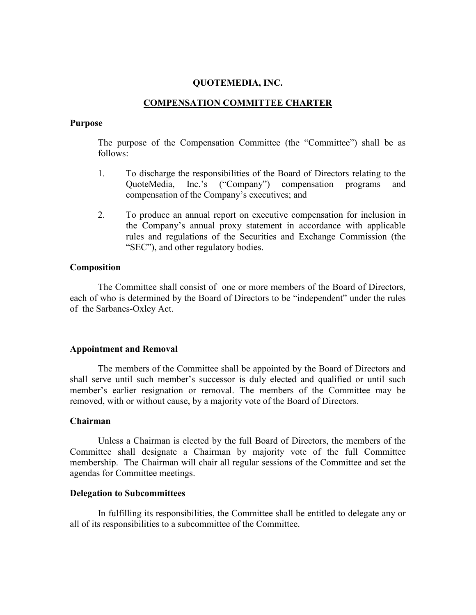## QUOTEMEDIA, INC.

## COMPENSATION COMMITTEE CHARTER

#### Purpose

The purpose of the Compensation Committee (the "Committee") shall be as follows:

- 1. To discharge the responsibilities of the Board of Directors relating to the QuoteMedia, Inc.'s ("Company") compensation programs and compensation of the Company's executives; and
- 2. To produce an annual report on executive compensation for inclusion in the Company's annual proxy statement in accordance with applicable rules and regulations of the Securities and Exchange Commission (the "SEC"), and other regulatory bodies.

#### Composition

The Committee shall consist of one or more members of the Board of Directors, each of who is determined by the Board of Directors to be "independent" under the rules of the Sarbanes-Oxley Act.

#### Appointment and Removal

The members of the Committee shall be appointed by the Board of Directors and shall serve until such member's successor is duly elected and qualified or until such member's earlier resignation or removal. The members of the Committee may be removed, with or without cause, by a majority vote of the Board of Directors.

#### Chairman

Unless a Chairman is elected by the full Board of Directors, the members of the Committee shall designate a Chairman by majority vote of the full Committee membership. The Chairman will chair all regular sessions of the Committee and set the agendas for Committee meetings.

#### Delegation to Subcommittees

In fulfilling its responsibilities, the Committee shall be entitled to delegate any or all of its responsibilities to a subcommittee of the Committee.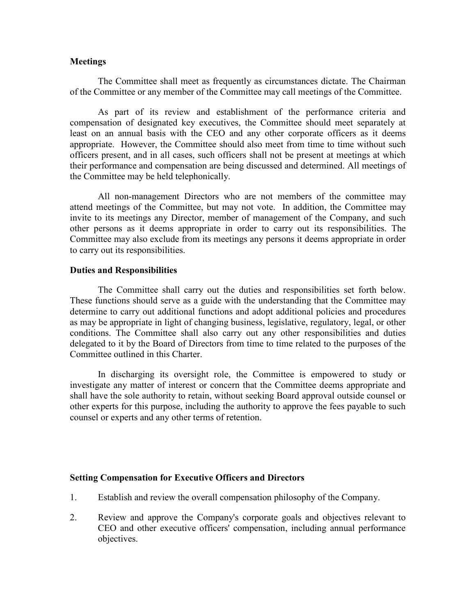## **Meetings**

The Committee shall meet as frequently as circumstances dictate. The Chairman of the Committee or any member of the Committee may call meetings of the Committee.

As part of its review and establishment of the performance criteria and compensation of designated key executives, the Committee should meet separately at least on an annual basis with the CEO and any other corporate officers as it deems appropriate. However, the Committee should also meet from time to time without such officers present, and in all cases, such officers shall not be present at meetings at which their performance and compensation are being discussed and determined. All meetings of the Committee may be held telephonically.

All non-management Directors who are not members of the committee may attend meetings of the Committee, but may not vote. In addition, the Committee may invite to its meetings any Director, member of management of the Company, and such other persons as it deems appropriate in order to carry out its responsibilities. The Committee may also exclude from its meetings any persons it deems appropriate in order to carry out its responsibilities.

## Duties and Responsibilities

The Committee shall carry out the duties and responsibilities set forth below. These functions should serve as a guide with the understanding that the Committee may determine to carry out additional functions and adopt additional policies and procedures as may be appropriate in light of changing business, legislative, regulatory, legal, or other conditions. The Committee shall also carry out any other responsibilities and duties delegated to it by the Board of Directors from time to time related to the purposes of the Committee outlined in this Charter.

In discharging its oversight role, the Committee is empowered to study or investigate any matter of interest or concern that the Committee deems appropriate and shall have the sole authority to retain, without seeking Board approval outside counsel or other experts for this purpose, including the authority to approve the fees payable to such counsel or experts and any other terms of retention.

# Setting Compensation for Executive Officers and Directors

- 1. Establish and review the overall compensation philosophy of the Company.
- 2. Review and approve the Company's corporate goals and objectives relevant to CEO and other executive officers' compensation, including annual performance objectives.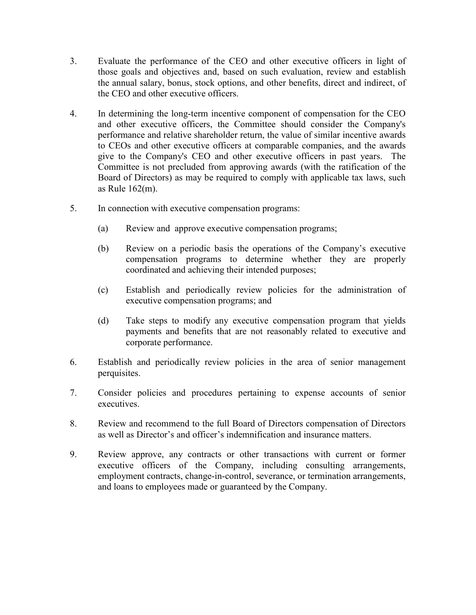- 3. Evaluate the performance of the CEO and other executive officers in light of those goals and objectives and, based on such evaluation, review and establish the annual salary, bonus, stock options, and other benefits, direct and indirect, of the CEO and other executive officers.
- 4. In determining the long-term incentive component of compensation for the CEO and other executive officers, the Committee should consider the Company's performance and relative shareholder return, the value of similar incentive awards to CEOs and other executive officers at comparable companies, and the awards give to the Company's CEO and other executive officers in past years. The Committee is not precluded from approving awards (with the ratification of the Board of Directors) as may be required to comply with applicable tax laws, such as Rule 162(m).
- 5. In connection with executive compensation programs:
	- (a) Review and approve executive compensation programs;
	- (b) Review on a periodic basis the operations of the Company's executive compensation programs to determine whether they are properly coordinated and achieving their intended purposes;
	- (c) Establish and periodically review policies for the administration of executive compensation programs; and
	- (d) Take steps to modify any executive compensation program that yields payments and benefits that are not reasonably related to executive and corporate performance.
- 6. Establish and periodically review policies in the area of senior management perquisites.
- 7. Consider policies and procedures pertaining to expense accounts of senior executives.
- 8. Review and recommend to the full Board of Directors compensation of Directors as well as Director's and officer's indemnification and insurance matters.
- 9. Review approve, any contracts or other transactions with current or former executive officers of the Company, including consulting arrangements, employment contracts, change-in-control, severance, or termination arrangements, and loans to employees made or guaranteed by the Company.